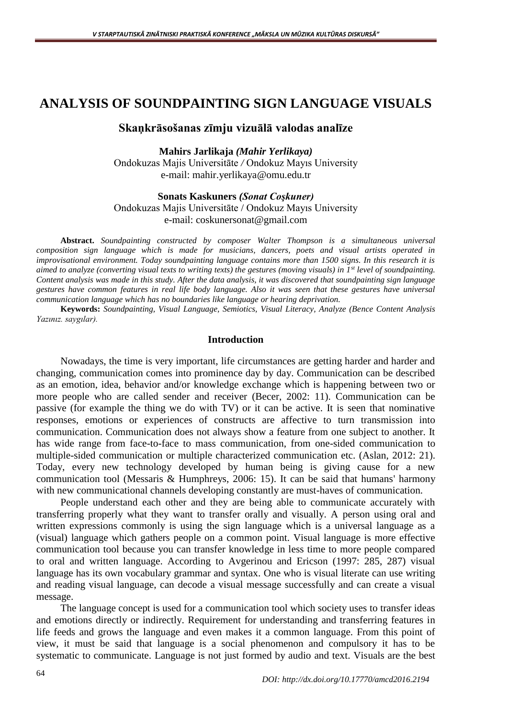# **ANALYSIS OF SOUNDPAINTING SIGN LANGUAGE VISUALS**

### **Skaņkrāsošanas zīmju vizuālā valodas analīze**

**Mahirs Jarlikaja** *(Mahir Yerlikaya)* Ondokuzas Majis Universitāte */* Ondokuz Mayıs University e-mail: [mahir.yerlikaya@omu.edu.tr](mailto:mahir.yerlikaya@omu.edu.tr)

**Sonats Kaskuners** *(Sonat Coşkuner)* Ondokuzas Majis Universitāte / Ondokuz Mayıs University

e-mail: [coskunersonat@gmail.com](mailto:coskunersonat@gmail.com)

**Abstract.** *Soundpainting constructed by composer Walter Thompson is a simultaneous universal composition sign language which is made for musicians, dancers, poets and visual artists operated in improvisational environment. Today soundpainting language contains more than 1500 signs. In this research it is aimed to analyze (converting visual texts to writing texts) the gestures (moving visuals) in 1st level of soundpainting. Content analysis was made in this study. After the data analysis, it was discovered that soundpainting sign language gestures have common features in real life body language. Also it was seen that these gestures have universal communication language which has no boundaries like language or hearing deprivation.*

**Keywords:** *Soundpainting, Visual Language, Semiotics, Visual Literacy, Analyze (Bence Content Analysis Yazınız. saygılar).*

#### **Introduction**

Nowadays, the time is very important, life circumstances are getting harder and harder and changing, communication comes into prominence day by day. Communication can be described as an emotion, idea, behavior and/or knowledge exchange which is happening between two or more people who are called sender and receiver (Becer, 2002: 11). Communication can be passive (for example the thing we do with TV) or it can be active. It is seen that nominative responses, emotions or experiences of constructs are affective to turn transmission into communication. Communication does not always show a feature from one subject to another. It has wide range from face-to-face to mass communication, from one-sided communication to multiple-sided communication or multiple characterized communication etc. (Aslan, 2012: 21). Today, every new technology developed by human being is giving cause for a new communication tool (Messaris & Humphreys, 2006: 15). It can be said that humans' harmony with new communicational channels developing constantly are must-haves of communication.

People understand each other and they are being able to communicate accurately with transferring properly what they want to transfer orally and visually. A person using oral and written expressions commonly is using the sign language which is a universal language as a (visual) language which gathers people on a common point. Visual language is more effective communication tool because you can transfer knowledge in less time to more people compared to oral and written language. According to Avgerinou and Ericson (1997: 285, 287) visual language has its own vocabulary grammar and syntax. One who is visual literate can use writing and reading visual language, can decode a visual message successfully and can create a visual message.

The language concept is used for a communication tool which society uses to transfer ideas and emotions directly or indirectly. Requirement for understanding and transferring features in life feeds and grows the language and even makes it a common language. From this point of view, it must be said that language is a social phenomenon and compulsory it has to be systematic to communicate. Language is not just formed by audio and text. Visuals are the best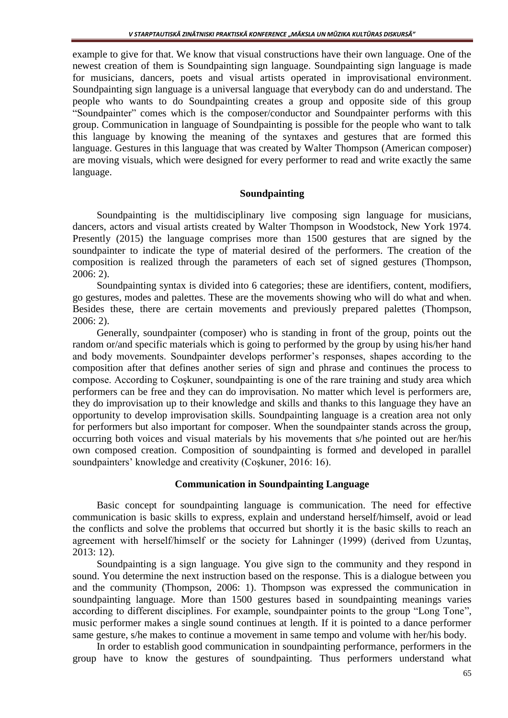example to give for that. We know that visual constructions have their own language. One of the newest creation of them is Soundpainting sign language. Soundpainting sign language is made for musicians, dancers, poets and visual artists operated in improvisational environment. Soundpainting sign language is a universal language that everybody can do and understand. The people who wants to do Soundpainting creates a group and opposite side of this group "Soundpainter" comes which is the composer/conductor and Soundpainter performs with this group. Communication in language of Soundpainting is possible for the people who want to talk this language by knowing the meaning of the syntaxes and gestures that are formed this language. Gestures in this language that was created by Walter Thompson (American composer) are moving visuals, which were designed for every performer to read and write exactly the same language.

#### **Soundpainting**

Soundpainting is the multidisciplinary live composing sign language for musicians, dancers, actors and visual artists created by Walter Thompson in Woodstock, New York 1974. Presently (2015) the language comprises more than 1500 gestures that are signed by the soundpainter to indicate the type of material desired of the performers. The creation of the composition is realized through the parameters of each set of signed gestures (Thompson, 2006: 2).

Soundpainting syntax is divided into 6 categories; these are identifiers, content, modifiers, go gestures, modes and palettes. These are the movements showing who will do what and when. Besides these, there are certain movements and previously prepared palettes (Thompson, 2006: 2).

Generally, soundpainter (composer) who is standing in front of the group, points out the random or/and specific materials which is going to performed by the group by using his/her hand and body movements. Soundpainter develops performer's responses, shapes according to the composition after that defines another series of sign and phrase and continues the process to compose. According to Coşkuner, soundpainting is one of the rare training and study area which performers can be free and they can do improvisation. No matter which level is performers are, they do improvisation up to their knowledge and skills and thanks to this language they have an opportunity to develop improvisation skills. Soundpainting language is a creation area not only for performers but also important for composer. When the soundpainter stands across the group, occurring both voices and visual materials by his movements that s/he pointed out are her/his own composed creation. Composition of soundpainting is formed and developed in parallel soundpainters' knowledge and creativity (Coşkuner, 2016: 16).

#### **Communication in Soundpainting Language**

Basic concept for soundpainting language is communication. The need for effective communication is basic skills to express, explain and understand herself/himself, avoid or lead the conflicts and solve the problems that occurred but shortly it is the basic skills to reach an agreement with herself/himself or the society for Lahninger (1999) (derived from Uzuntaş, 2013: 12).

Soundpainting is a sign language. You give sign to the community and they respond in sound. You determine the next instruction based on the response. This is a dialogue between you and the community (Thompson, 2006: 1). Thompson was expressed the communication in soundpainting language. More than 1500 gestures based in soundpainting meanings varies according to different disciplines. For example, soundpainter points to the group "Long Tone", music performer makes a single sound continues at length. If it is pointed to a dance performer same gesture, s/he makes to continue a movement in same tempo and volume with her/his body.

In order to establish good communication in soundpainting performance, performers in the group have to know the gestures of soundpainting. Thus performers understand what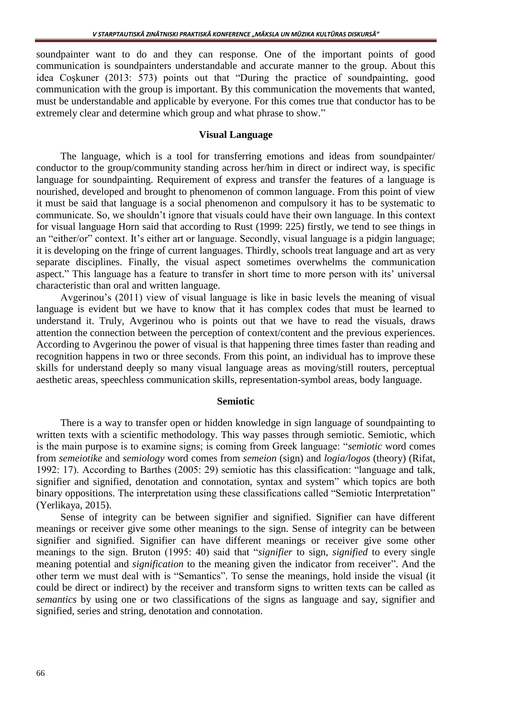soundpainter want to do and they can response. One of the important points of good communication is soundpainters understandable and accurate manner to the group. About this idea Coşkuner (2013: 573) points out that "During the practice of soundpainting, good communication with the group is important. By this communication the movements that wanted, must be understandable and applicable by everyone. For this comes true that conductor has to be extremely clear and determine which group and what phrase to show."

#### **Visual Language**

The language, which is a tool for transferring emotions and ideas from soundpainter/ conductor to the group/community standing across her/him in direct or indirect way, is specific language for soundpainting. Requirement of express and transfer the features of a language is nourished, developed and brought to phenomenon of common language. From this point of view it must be said that language is a social phenomenon and compulsory it has to be systematic to communicate. So, we shouldn't ignore that visuals could have their own language. In this context for visual language Horn said that according to Rust (1999: 225) firstly, we tend to see things in an "either/or" context. It's either art or language. Secondly, visual language is a pidgin language; it is developing on the fringe of current languages. Thirdly, schools treat language and art as very separate disciplines. Finally, the visual aspect sometimes overwhelms the communication aspect." This language has a feature to transfer in short time to more person with its' universal characteristic than oral and written language.

Avgerinou's (2011) view of visual language is like in basic levels the meaning of visual language is evident but we have to know that it has complex codes that must be learned to understand it. Truly, Avgerinou who is points out that we have to read the visuals, draws attention the connection between the perception of context/content and the previous experiences. According to Avgerinou the power of visual is that happening three times faster than reading and recognition happens in two or three seconds. From this point, an individual has to improve these skills for understand deeply so many visual language areas as moving/still routers, perceptual aesthetic areas, speechless communication skills, representation-symbol areas, body language.

#### **Semiotic**

There is a way to transfer open or hidden knowledge in sign language of soundpainting to written texts with a scientific methodology. This way passes through semiotic. Semiotic, which is the main purpose is to examine signs; is coming from Greek language: "*semiotic* word comes from *semeiotike* and *semiology* word comes from *semeion* (sign) and *logia/logos* (theory) (Rifat, 1992: 17). According to Barthes (2005: 29) semiotic has this classification: "language and talk, signifier and signified, denotation and connotation, syntax and system" which topics are both binary oppositions. The interpretation using these classifications called "Semiotic Interpretation" (Yerlikaya, 2015).

Sense of integrity can be between signifier and signified. Signifier can have different meanings or receiver give some other meanings to the sign. Sense of integrity can be between signifier and signified. Signifier can have different meanings or receiver give some other meanings to the sign. Bruton (1995: 40) said that "*signifier* to sign, *signified* to every single meaning potential and *signification* to the meaning given the indicator from receiver". And the other term we must deal with is "Semantics". To sense the meanings, hold inside the visual (it could be direct or indirect) by the receiver and transform signs to written texts can be called as *semantics* by using one or two classifications of the signs as language and say, signifier and signified, series and string, denotation and connotation.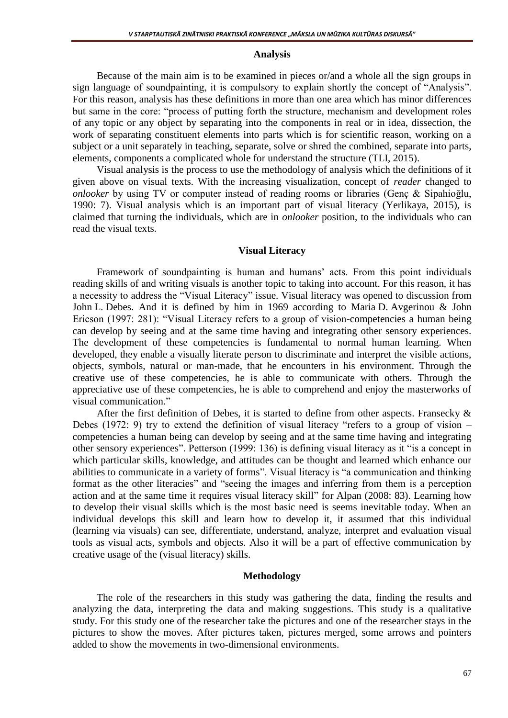#### **Analysis**

Because of the main aim is to be examined in pieces or/and a whole all the sign groups in sign language of soundpainting, it is compulsory to explain shortly the concept of "Analysis". For this reason, analysis has these definitions in more than one area which has minor differences but same in the core: "process of putting forth the structure, mechanism and development roles of any topic or any object by separating into the components in real or in idea, dissection, the work of separating constituent elements into parts which is for scientific reason, working on a subject or a unit separately in teaching, separate, solve or shred the combined, separate into parts, elements, components a complicated whole for understand the structure (TLI, 2015).

Visual analysis is the process to use the methodology of analysis which the definitions of it given above on visual texts. With the increasing visualization, concept of *reader* changed to *onlooker* by using TV or computer instead of reading rooms or libraries (Genç & Sipahioğlu, 1990: 7). Visual analysis which is an important part of visual literacy (Yerlikaya, 2015), is claimed that turning the individuals, which are in *onlooker* position, to the individuals who can read the visual texts.

#### **Visual Literacy**

Framework of soundpainting is human and humans' acts. From this point individuals reading skills of and writing visuals is another topic to taking into account. For this reason, it has a necessity to address the "Visual Literacy" issue. Visual literacy was opened to discussion from John L. Debes. And it is defined by him in 1969 according to Maria D. Avgerinou & John Ericson (1997: 281): "Visual Literacy refers to a group of vision-competencies a human being can develop by seeing and at the same time having and integrating other sensory experiences. The development of these competencies is fundamental to normal human learning. When developed, they enable a visually literate person to discriminate and interpret the visible actions, objects, symbols, natural or man-made, that he encounters in his environment. Through the creative use of these competencies, he is able to communicate with others. Through the appreciative use of these competencies, he is able to comprehend and enjoy the masterworks of visual communication."

After the first definition of Debes, it is started to define from other aspects. Fransecky & Debes (1972: 9) try to extend the definition of visual literacy "refers to a group of vision – competencies a human being can develop by seeing and at the same time having and integrating other sensory experiences". Petterson (1999: 136) is defining visual literacy as it "is a concept in which particular skills, knowledge, and attitudes can be thought and learned which enhance our abilities to communicate in a variety of forms". Visual literacy is "a communication and thinking format as the other literacies" and "seeing the images and inferring from them is a perception action and at the same time it requires visual literacy skill" for Alpan (2008: 83). Learning how to develop their visual skills which is the most basic need is seems inevitable today. When an individual develops this skill and learn how to develop it, it assumed that this individual (learning via visuals) can see, differentiate, understand, analyze, interpret and evaluation visual tools as visual acts, symbols and objects. Also it will be a part of effective communication by creative usage of the (visual literacy) skills.

#### **Methodology**

The role of the researchers in this study was gathering the data, finding the results and analyzing the data, interpreting the data and making suggestions. This study is a qualitative study. For this study one of the researcher take the pictures and one of the researcher stays in the pictures to show the moves. After pictures taken, pictures merged, some arrows and pointers added to show the movements in two-dimensional environments.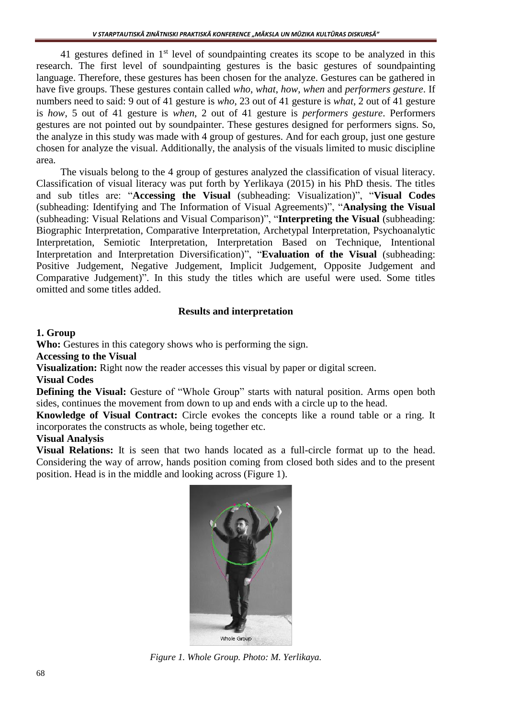41 gestures defined in  $1<sup>st</sup>$  level of soundpainting creates its scope to be analyzed in this research. The first level of soundpainting gestures is the basic gestures of soundpainting language. Therefore, these gestures has been chosen for the analyze. Gestures can be gathered in have five groups. These gestures contain called *who*, *what*, *how*, *when* and *performers gesture*. If numbers need to said: 9 out of 41 gesture is *who*, 23 out of 41 gesture is *what*, 2 out of 41 gesture is *how*, 5 out of 41 gesture is *when*, 2 out of 41 gesture is *performers gesture*. Performers gestures are not pointed out by soundpainter. These gestures designed for performers signs. So, the analyze in this study was made with 4 group of gestures. And for each group, just one gesture chosen for analyze the visual. Additionally, the analysis of the visuals limited to music discipline area.

The visuals belong to the 4 group of gestures analyzed the classification of visual literacy. Classification of visual literacy was put forth by Yerlikaya (2015) in his PhD thesis. The titles and sub titles are: "**Accessing the Visual** (subheading: Visualization)", "**Visual Codes** (subheading: Identifying and The Information of Visual Agreements)", "**Analysing the Visual** (subheading: Visual Relations and Visual Comparison)", "**Interpreting the Visual** (subheading: Biographic Interpretation, Comparative Interpretation, Archetypal Interpretation, Psychoanalytic Interpretation, Semiotic Interpretation, Interpretation Based on Technique, Intentional Interpretation and Interpretation Diversification)", "**Evaluation of the Visual** (subheading: Positive Judgement, Negative Judgement, Implicit Judgement, Opposite Judgement and Comparative Judgement)". In this study the titles which are useful were used. Some titles omitted and some titles added.

### **Results and interpretation**

### **1. Group**

**Who:** Gestures in this category shows who is performing the sign.

**Accessing to the Visual**

**Visualization:** Right now the reader accesses this visual by paper or digital screen.

**Visual Codes**

**Defining the Visual:** Gesture of "Whole Group" starts with natural position. Arms open both sides, continues the movement from down to up and ends with a circle up to the head.

**Knowledge of Visual Contract:** Circle evokes the concepts like a round table or a ring. It incorporates the constructs as whole, being together etc.

## **Visual Analysis**

**Visual Relations:** It is seen that two hands located as a full-circle format up to the head. Considering the way of arrow, hands position coming from closed both sides and to the present position. Head is in the middle and looking across (Figure 1).



*Figure 1. Whole Group. Photo: M. Yerlikaya.*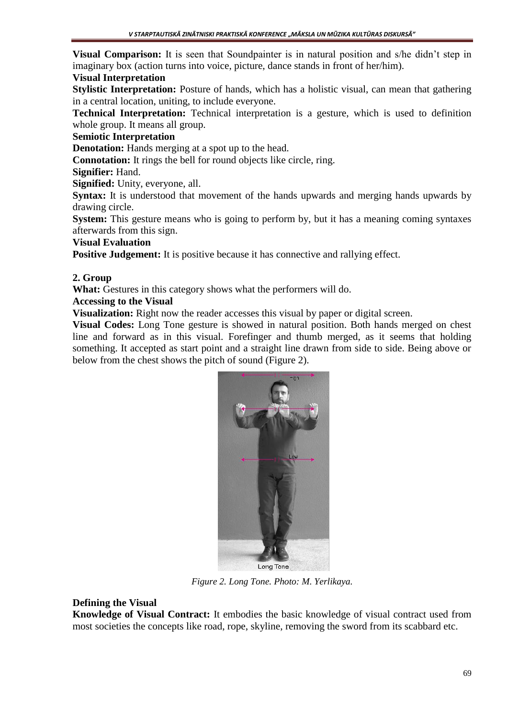**Visual Comparison:** It is seen that Soundpainter is in natural position and s/he didn't step in imaginary box (action turns into voice, picture, dance stands in front of her/him).

## **Visual Interpretation**

**Stylistic Interpretation:** Posture of hands, which has a holistic visual, can mean that gathering in a central location, uniting, to include everyone.

**Technical Interpretation:** Technical interpretation is a gesture, which is used to definition whole group. It means all group.

## **Semiotic Interpretation**

**Denotation:** Hands merging at a spot up to the head.

**Connotation:** It rings the bell for round objects like circle, ring.

**Signifier:** Hand.

**Signified:** Unity, everyone, all.

**Syntax:** It is understood that movement of the hands upwards and merging hands upwards by drawing circle.

**System:** This gesture means who is going to perform by, but it has a meaning coming syntaxes afterwards from this sign.

## **Visual Evaluation**

**Positive Judgement:** It is positive because it has connective and rallying effect.

## **2. Group**

What: Gestures in this category shows what the performers will do.

## **Accessing to the Visual**

**Visualization:** Right now the reader accesses this visual by paper or digital screen.

**Visual Codes:** Long Tone gesture is showed in natural position. Both hands merged on chest line and forward as in this visual. Forefinger and thumb merged, as it seems that holding something. It accepted as start point and a straight line drawn from side to side. Being above or below from the chest shows the pitch of sound (Figure 2).



*Figure 2. Long Tone. Photo: M. Yerlikaya.*

## **Defining the Visual**

**Knowledge of Visual Contract:** It embodies the basic knowledge of visual contract used from most societies the concepts like road, rope, skyline, removing the sword from its scabbard etc.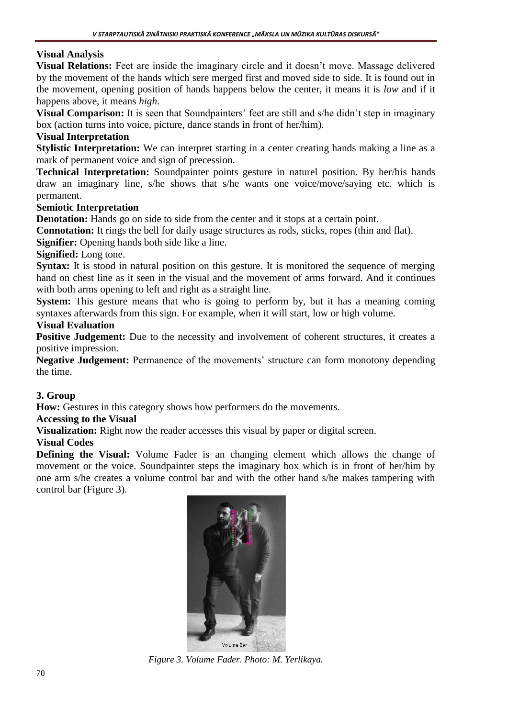## **Visual Analysis**

**Visual Relations:** Feet are inside the imaginary circle and it doesn't move. Massage delivered by the movement of the hands which sere merged first and moved side to side. It is found out in the movement, opening position of hands happens below the center, it means it is *low* and if it happens above, it means *high*.

**Visual Comparison:** It is seen that Soundpainters' feet are still and s/he didn't step in imaginary box (action turns into voice, picture, dance stands in front of her/him).

### **Visual Interpretation**

**Stylistic Interpretation:** We can interpret starting in a center creating hands making a line as a mark of permanent voice and sign of precession.

**Technical Interpretation:** Soundpainter points gesture in naturel position. By her/his hands draw an imaginary line, s/he shows that s/he wants one voice/move/saying etc. which is permanent.

### **Semiotic Interpretation**

**Denotation:** Hands go on side to side from the center and it stops at a certain point.

**Connotation:** It rings the bell for daily usage structures as rods, sticks, ropes (thin and flat).

**Signifier:** Opening hands both side like a line.

### **Signified:** Long tone.

Syntax: It is stood in natural position on this gesture. It is monitored the sequence of merging hand on chest line as it seen in the visual and the movement of arms forward. And it continues with both arms opening to left and right as a straight line.

**System:** This gesture means that who is going to perform by, but it has a meaning coming syntaxes afterwards from this sign. For example, when it will start, low or high volume.

### **Visual Evaluation**

Positive Judgement: Due to the necessity and involvement of coherent structures, it creates a positive impression.

**Negative Judgement:** Permanence of the movements' structure can form monotony depending the time.

### **3. Group**

How: Gestures in this category shows how performers do the movements.

### **Accessing to the Visual**

**Visualization:** Right now the reader accesses this visual by paper or digital screen.

### **Visual Codes**

**Defining the Visual:** Volume Fader is an changing element which allows the change of movement or the voice. Soundpainter steps the imaginary box which is in front of her/him by one arm s/he creates a volume control bar and with the other hand s/he makes tampering with control bar (Figure 3).



*Figure 3. Volume Fader. Photo: M. Yerlikaya.*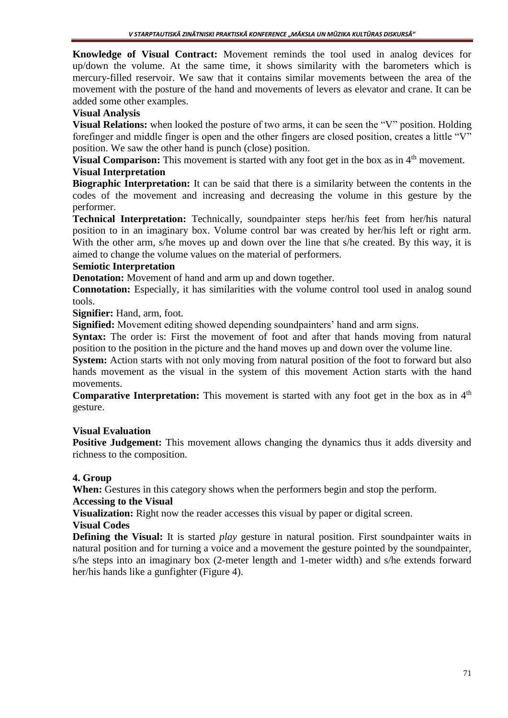**Knowledge of Visual Contract:** Movement reminds the tool used in analog devices for up/down the volume. At the same time, it shows similarity with the barometers which is mercury-filled reservoir. We saw that it contains similar movements between the area of the movement with the posture of the hand and movements of levers as elevator and crane. It can be added some other examples.

## **Visual Analysis**

**Visual Relations:** when looked the posture of two arms, it can be seen the "V" position. Holding forefinger and middle finger is open and the other fingers are closed position, creates a little "V" position. We saw the other hand is punch (close) position.

**Visual Comparison:** This movement is started with any foot get in the box as in 4<sup>th</sup> movement. **Visual Interpretation**

**Biographic Interpretation:** It can be said that there is a similarity between the contents in the codes of the movement and increasing and decreasing the volume in this gesture by the performer.

**Technical Interpretation:** Technically, soundpainter steps her/his feet from her/his natural position to in an imaginary box. Volume control bar was created by her/his left or right arm. With the other arm, s/he moves up and down over the line that s/he created. By this way, it is aimed to change the volume values on the material of performers.

### **Semiotic Interpretation**

**Denotation:** Movement of hand and arm up and down together.

**Connotation:** Especially, it has similarities with the volume control tool used in analog sound tools.

**Signifier:** Hand, arm, foot.

**Signified:** Movement editing showed depending soundpainters' hand and arm signs.

**Syntax:** The order is: First the movement of foot and after that hands moving from natural position to the position in the picture and the hand moves up and down over the volume line.

**System:** Action starts with not only moving from natural position of the foot to forward but also hands movement as the visual in the system of this movement Action starts with the hand movements.

**Comparative Interpretation:** This movement is started with any foot get in the box as in 4<sup>th</sup> gesture.

## **Visual Evaluation**

**Positive Judgement:** This movement allows changing the dynamics thus it adds diversity and richness to the composition.

## **4. Group**

When: Gestures in this category shows when the performers begin and stop the perform.

### **Accessing to the Visual**

**Visualization:** Right now the reader accesses this visual by paper or digital screen.

### **Visual Codes**

**Defining the Visual:** It is started *play* gesture in natural position. First soundpainter waits in natural position and for turning a voice and a movement the gesture pointed by the soundpainter, s/he steps into an imaginary box (2-meter length and 1-meter width) and s/he extends forward her/his hands like a gunfighter (Figure 4).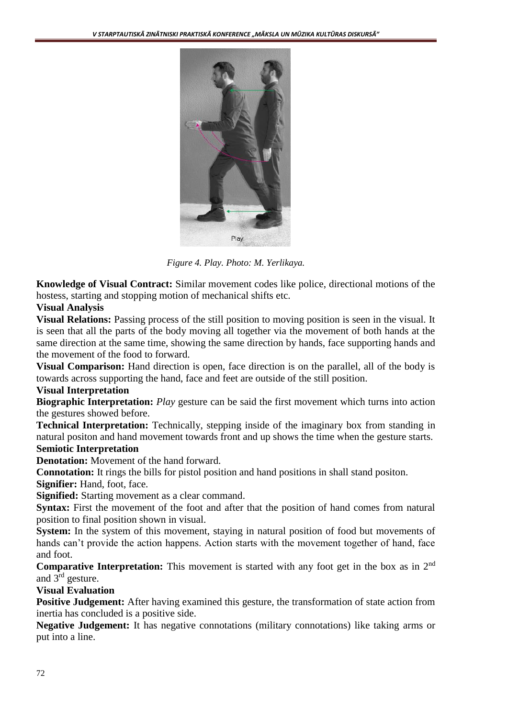

*Figure 4. Play. Photo: M. Yerlikaya.*

**Knowledge of Visual Contract:** Similar movement codes like police, directional motions of the hostess, starting and stopping motion of mechanical shifts etc.

## **Visual Analysis**

**Visual Relations:** Passing process of the still position to moving position is seen in the visual. It is seen that all the parts of the body moving all together via the movement of both hands at the same direction at the same time, showing the same direction by hands, face supporting hands and the movement of the food to forward.

**Visual Comparison:** Hand direction is open, face direction is on the parallel, all of the body is towards across supporting the hand, face and feet are outside of the still position.

## **Visual Interpretation**

**Biographic Interpretation:** *Play* gesture can be said the first movement which turns into action the gestures showed before.

**Technical Interpretation:** Technically, stepping inside of the imaginary box from standing in natural positon and hand movement towards front and up shows the time when the gesture starts. **Semiotic Interpretation**

**Denotation:** Movement of the hand forward.

**Connotation:** It rings the bills for pistol position and hand positions in shall stand positon.

**Signifier:** Hand, foot, face.

**Signified:** Starting movement as a clear command.

**Syntax:** First the movement of the foot and after that the position of hand comes from natural position to final position shown in visual.

**System:** In the system of this movement, staying in natural position of food but movements of hands can't provide the action happens. Action starts with the movement together of hand, face and foot.

**Comparative Interpretation:** This movement is started with any foot get in the box as in 2<sup>nd</sup> and 3<sup>rd</sup> gesture.

## **Visual Evaluation**

**Positive Judgement:** After having examined this gesture, the transformation of state action from inertia has concluded is a positive side.

**Negative Judgement:** It has negative connotations (military connotations) like taking arms or put into a line.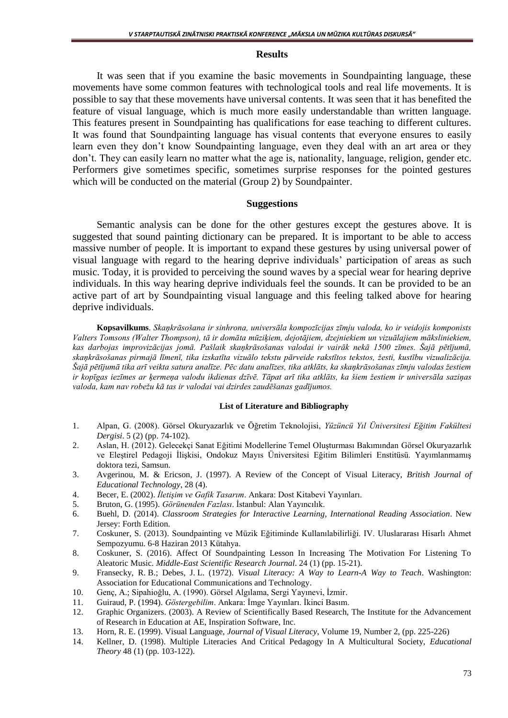#### **Results**

It was seen that if you examine the basic movements in Soundpainting language, these movements have some common features with technological tools and real life movements. It is possible to say that these movements have universal contents. It was seen that it has benefited the feature of visual language, which is much more easily understandable than written language. This features present in Soundpainting has qualifications for ease teaching to different cultures. It was found that Soundpainting language has visual contents that everyone ensures to easily learn even they don't know Soundpainting language, even they deal with an art area or they don't. They can easily learn no matter what the age is, nationality, language, religion, gender etc. Performers give sometimes specific, sometimes surprise responses for the pointed gestures which will be conducted on the material (Group 2) by Soundpainter.

#### **Suggestions**

Semantic analysis can be done for the other gestures except the gestures above. It is suggested that sound painting dictionary can be prepared. It is important to be able to access massive number of people. It is important to expand these gestures by using universal power of visual language with regard to the hearing deprive individuals' participation of areas as such music. Today, it is provided to perceiving the sound waves by a special wear for hearing deprive individuals. In this way hearing deprive individuals feel the sounds. It can be provided to be an active part of art by Soundpainting visual language and this feeling talked above for hearing deprive individuals.

**Kopsavilkums**. *Skaņkrāsošana ir sinhrona, universāla kompozīcijas zīmju valoda, ko ir veidojis komponists Valters Tomsons (Walter Thompson), tā ir domāta mūziķiem, dejotājiem, dzejniekiem un vizuālajiem māksliniekiem, kas darbojas improvizācijas jomā. Pašlaik skaņkrāsošanas valodai ir vairāk nekā 1500 zīmes. Šajā pētījumā, skaņkrāsošanas pirmajā līmenī, tika izskatīta vizuālo tekstu pārveide rakstītos tekstos, žesti, kustību vizualizācija. Šajā pētījumā tika arī veikta satura analīze. Pēc datu analīzes, tika atklāts, ka skaņkrāsošanas zīmju valodas žestiem ir kopīgas iezīmes ar ķermeņa valodu ikdienas dzīvē. Tāpat arī tika atklāts, ka šiem žestiem ir universāla saziņas valoda, kam nav robežu kā tas ir valodai vai dzirdes zaudēšanas gadījumos.* 

#### **List of Literature and Bibliography**

- 1. Alpan, G. (2008). Görsel Okuryazarlık ve Öğretim Teknolojisi, *Yüzüncü Yıl Üniversitesi Eğitim Fakültesi Dergisi*. 5 (2) (pp. 74-102).
- 2. Aslan, H. (2012). Gelecekçi Sanat Eğitimi Modellerine Temel Oluşturması Bakımından Görsel Okuryazarlık ve Eleştirel Pedagoji İlişkisi, Ondokuz Mayıs Üniversitesi Eğitim Bilimleri Enstitüsü. Yayımlanmamış doktora tezi, Samsun.
- 3. Avgerinou, M. & Ericson, J. (1997). A Review of the Concept of Visual Literacy, *British Journal of Educational Technology*, 28 (4).
- 4. Becer, E. (2002). *İletişim ve Gafik Tasarım*. Ankara: Dost Kitabevi Yayınları.
- 5. Bruton, G. (1995). *Görünenden Fazlası*. İstanbul: Alan Yayıncılık.
- 6. Buehl, D. (2014). *Classroom Strategies for Interactive Learning, International Reading Association*. New Jersey: Forth Edition.
- 7. Coskuner, S. (2013). Soundpainting ve Müzik Eğitiminde Kullanılabilirliği. IV. Uluslararası Hisarlı Ahmet Sempozyumu. 6-8 Haziran 2013 Kütahya.
- 8. Coskuner, S. (2016). Affect Of Soundpainting Lesson In Increasing The Motivation For Listening To Aleatoric Music. *Middle-East Scientific Research Journal*. 24 (1) (pp. 15-21).
- 9. Fransecky, R. B.; Debes, J. L. (1972). *Visual Literacy: A Way to Learn-A Way to Teach*. Washington: Association for Educational Communications and Technology.
- 10. Genç, A.; Sipahioğlu, A. (1990). Görsel Algılama, Sergi Yayınevi, İzmir.
- 11. Guiraud, P. (1994). *Göstergebilim*. Ankara: İmge Yayınları. İkinci Basım.
- 12. Graphic Organizers. (2003). A Review of Scientifically Based Research, The Institute for the Advancement of Research in Education at AE, Inspiration Software, Inc.
- 13. Horn, R. E. (1999). Visual Language, *Journal of Visual Literacy*, Volume 19, Number 2, (pp. 225-226)
- 14. Kellner, D. (1998). Multiple Literacies And Critical Pedagogy In A Multicultural Society, *Educational Theory* 48 (1) (pp. 103-122).